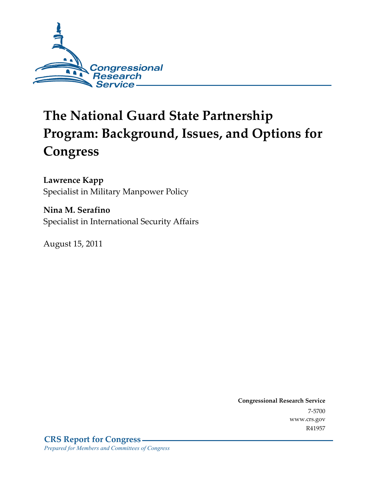

# **The National Guard State Partnership Program: Background, Issues, and Options for Congress**

**Lawrence Kapp** 

Specialist in Military Manpower Policy

**Nina M. Serafino**  Specialist in International Security Affairs

August 15, 2011

**Congressional Research Service**  7-5700 www.crs.gov R41957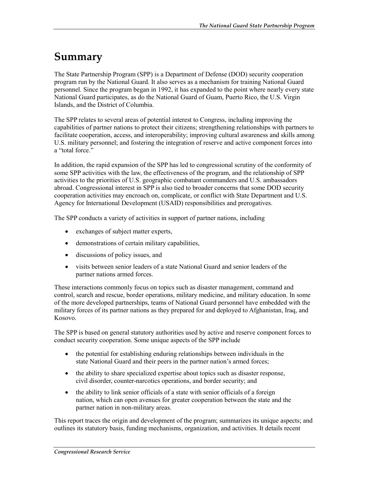## **Summary**

The State Partnership Program (SPP) is a Department of Defense (DOD) security cooperation program run by the National Guard. It also serves as a mechanism for training National Guard personnel. Since the program began in 1992, it has expanded to the point where nearly every state National Guard participates, as do the National Guard of Guam, Puerto Rico, the U.S. Virgin Islands, and the District of Columbia.

The SPP relates to several areas of potential interest to Congress, including improving the capabilities of partner nations to protect their citizens; strengthening relationships with partners to facilitate cooperation, access, and interoperability; improving cultural awareness and skills among U.S. military personnel; and fostering the integration of reserve and active component forces into a "total force."

In addition, the rapid expansion of the SPP has led to congressional scrutiny of the conformity of some SPP activities with the law, the effectiveness of the program, and the relationship of SPP activities to the priorities of U.S. geographic combatant commanders and U.S. ambassadors abroad. Congressional interest in SPP is also tied to broader concerns that some DOD security cooperation activities may encroach on, complicate, or conflict with State Department and U.S. Agency for International Development (USAID) responsibilities and prerogatives.

The SPP conducts a variety of activities in support of partner nations, including

- exchanges of subject matter experts,
- demonstrations of certain military capabilities,
- discussions of policy issues, and
- visits between senior leaders of a state National Guard and senior leaders of the partner nations armed forces.

These interactions commonly focus on topics such as disaster management, command and control, search and rescue, border operations, military medicine, and military education. In some of the more developed partnerships, teams of National Guard personnel have embedded with the military forces of its partner nations as they prepared for and deployed to Afghanistan, Iraq, and Kosovo.

The SPP is based on general statutory authorities used by active and reserve component forces to conduct security cooperation. Some unique aspects of the SPP include

- the potential for establishing enduring relationships between individuals in the state National Guard and their peers in the partner nation's armed forces;
- the ability to share specialized expertise about topics such as disaster response, civil disorder, counter-narcotics operations, and border security; and
- the ability to link senior officials of a state with senior officials of a foreign nation, which can open avenues for greater cooperation between the state and the partner nation in non-military areas.

This report traces the origin and development of the program; summarizes its unique aspects; and outlines its statutory basis, funding mechanisms, organization, and activities. It details recent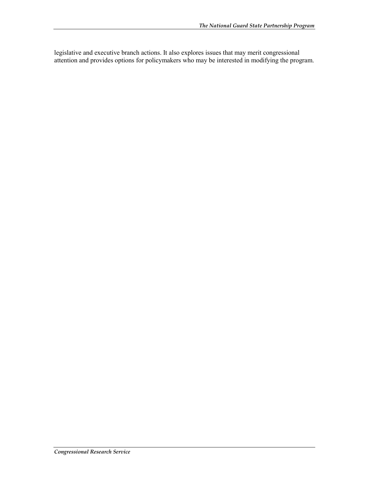legislative and executive branch actions. It also explores issues that may merit congressional attention and provides options for policymakers who may be interested in modifying the program.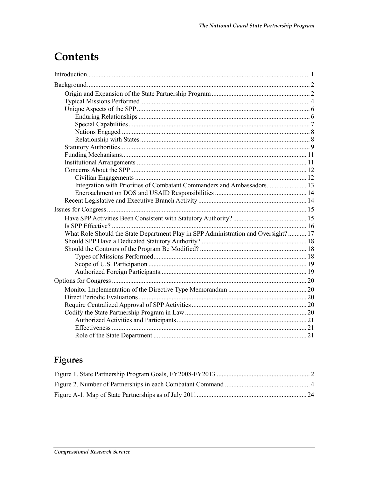## Contents

| Integration with Priorities of Combatant Commanders and Ambassadors 13             |  |
|------------------------------------------------------------------------------------|--|
|                                                                                    |  |
|                                                                                    |  |
|                                                                                    |  |
|                                                                                    |  |
|                                                                                    |  |
| What Role Should the State Department Play in SPP Administration and Oversight? 17 |  |
|                                                                                    |  |
|                                                                                    |  |
|                                                                                    |  |
|                                                                                    |  |
|                                                                                    |  |
|                                                                                    |  |
|                                                                                    |  |
|                                                                                    |  |
|                                                                                    |  |
|                                                                                    |  |
|                                                                                    |  |
|                                                                                    |  |
|                                                                                    |  |

## Figures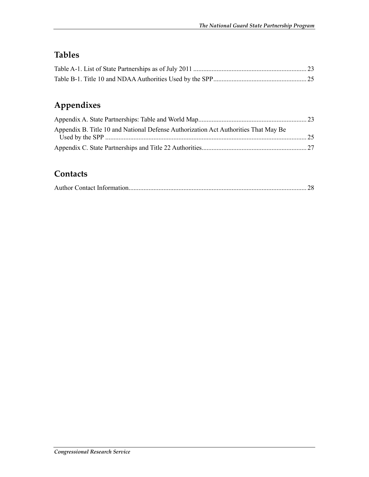## **Tables**

## **Appendixes**

| Appendix B. Title 10 and National Defense Authorization Act Authorities That May Be |  |
|-------------------------------------------------------------------------------------|--|
|                                                                                     |  |
|                                                                                     |  |

## **Contacts**

|--|--|--|--|--|--|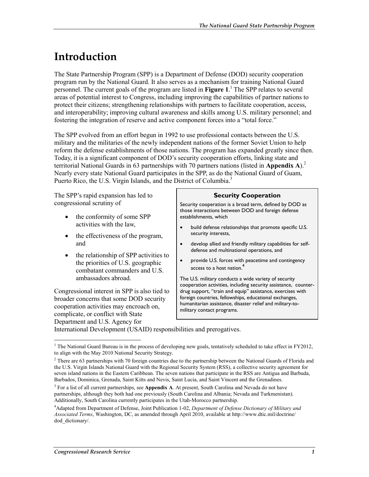## **Introduction**

The State Partnership Program (SPP) is a Department of Defense (DOD) security cooperation program run by the National Guard. It also serves as a mechanism for training National Guard personnel. The current goals of the program are listed in **Figure 1**. 1 The SPP relates to several areas of potential interest to Congress, including improving the capabilities of partner nations to protect their citizens; strengthening relationships with partners to facilitate cooperation, access, and interoperability; improving cultural awareness and skills among U.S. military personnel; and fostering the integration of reserve and active component forces into a "total force."

The SPP evolved from an effort begun in 1992 to use professional contacts between the U.S. military and the militaries of the newly independent nations of the former Soviet Union to help reform the defense establishments of those nations. The program has expanded greatly since then. Today, it is a significant component of DOD's security cooperation efforts, linking state and territorial National Guards in 63 partnerships with 70 partners nations (listed in **Appendix A**).2 Nearly every state National Guard participates in the SPP, as do the National Guard of Guam, Puerto Rico, the U.S. Virgin Islands, and the District of Columbia.<sup>3</sup>

The SPP's rapid expansion has led to congressional scrutiny of

- the conformity of some SPP activities with the law,
- the effectiveness of the program, and
- the relationship of SPP activities to the priorities of U.S. geographic combatant commanders and U.S. ambassadors abroad.

Congressional interest in SPP is also tied to broader concerns that some DOD security cooperation activities may encroach on, complicate, or conflict with State Department and U.S. Agency for

#### **Security Cooperation**

Security cooperation is a broad term, defined by DOD as those interactions between DOD and foreign defense establishments, which

- build defense relationships that promote specific U.S. security interests,
- develop allied and friendly military capabilities for selfdefense and multinational operations, and
- provide U.S. forces with peacetime and contingency access to a host nation.<sup>4</sup>

The U.S. military conducts a wide variety of security cooperation activities, including security assistance, counterdrug support, "train and equip" assistance, exercises with foreign countries, fellowships, educational exchanges, humanitarian assistance, disaster relief and military-tomilitary contact programs.

International Development (USAID) responsibilities and prerogatives.

The National Guard Bureau is in the process of developing new goals, tentatively scheduled to take effect in FY2012, to align with the May 2010 National Security Strategy.

 $2$  There are 63 partnerships with 70 foreign countries due to the partnership between the National Guards of Florida and the U.S. Virgin Islands National Guard with the Regional Security System (RSS), a collective security agreement for seven island nations in the Eastern Caribbean. The seven nations that participate in the RSS are Antigua and Barbuda, Barbados, Dominica, Grenada, Saint Kitts and Nevis, Saint Lucia, and Saint Vincent and the Grenadines.

<sup>3</sup> For a list of all current partnerships, see **Appendix A**. At present, South Carolina and Nevada do not have partnerships, although they both had one previously (South Carolina and Albania; Nevada and Turkmenistan). Additionally, South Carolina currently participates in the Utah-Morocco partnership.

<sup>4</sup> Adapted from Department of Defense, Joint Publication 1-02, *Department of Defense Dictionary of Military and Associated Terms*, Washington, DC, as amended through April 2010, available at http://www.dtic.mil/doctrine/ dod dictionary/.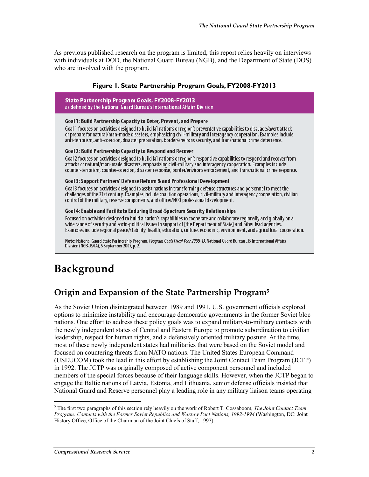As previous published research on the program is limited, this report relies heavily on interviews with individuals at DOD, the National Guard Bureau (NGB), and the Department of State (DOS) who are involved with the program.

#### **Figure 1. State Partnership Program Goals, FY2008-FY2013**

| State Partnership Program Goals, FY2008-FY2013<br>as defined by the National Guard Bureau's International Affairs Division                                                                                                                                                                                                                                                                                                                                     |
|----------------------------------------------------------------------------------------------------------------------------------------------------------------------------------------------------------------------------------------------------------------------------------------------------------------------------------------------------------------------------------------------------------------------------------------------------------------|
| Goal 1: Build Partnership Capacity to Deter, Prevent, and Prepare<br>Goal 1 focuses on activities designed to build [a] nation's or region's preventative capabilities to dissuade/avert attack<br>or prepare for natural/man-made disasters, emphasizing civil-military and interagency cooperation. Examples include<br>anti-terrorism, anti-coercion, disaster preparation, border/environs security, and transnational crime deterrence.                   |
| Goal 2: Build Partnership Capacity to Respond and Recover<br>Goal 2 focuses on activities designed to build [a] nation's or region's responsive capabilities to respond and recover from<br>attacks or natural/man-made disasters, emphasizing civil-military and interagency cooperation. Examples include<br>counter-terrorism, counter-coercion, disaster response, border/environs enforcement, and transnational crime response.                          |
| Goal 3: Support Partners' Defense Reform & and Professional Development<br>Goal 3 focuses on activities designed to assist nations in transforming defense structures and personnel to meet the<br>challenges of the 21st century. Examples include coalition operations, civil-military and interagency cooperation, civilian<br>control of the military, reserve components, and officer/NCO professional development.                                       |
| Goal 4: Enable and Facilitate Enduring Broad-Spectrum Security Relationships<br>Focused on activities designed to build a nation's capabilities to cooperate and collaborate regionally and globally on a<br>wide range of security and socio-political issues in support of [the Department of State] and other lead agencies.<br>Examples include regional peace/stability, health, education, culture, economic, environment, and agricultural cooperation. |
| Note: National Guard State Partnership Program, Program Goals Fiscal Year 2008-13, National Guard Bureau, J5 International Affairs<br>Division (NGB-J5/IA), 5 September 2007, p. 2.                                                                                                                                                                                                                                                                            |

## **Background**

### **Origin and Expansion of the State Partnership Program5**

As the Soviet Union disintegrated between 1989 and 1991, U.S. government officials explored options to minimize instability and encourage democratic governments in the former Soviet bloc nations. One effort to address these policy goals was to expand military-to-military contacts with the newly independent states of Central and Eastern Europe to promote subordination to civilian leadership, respect for human rights, and a defensively oriented military posture. At the time, most of these newly independent states had militaries that were based on the Soviet model and focused on countering threats from NATO nations. The United States European Command (USEUCOM) took the lead in this effort by establishing the Joint Contact Team Program (JCTP) in 1992. The JCTP was originally composed of active component personnel and included members of the special forces because of their language skills. However, when the JCTP began to engage the Baltic nations of Latvia, Estonia, and Lithuania, senior defense officials insisted that National Guard and Reserve personnel play a leading role in any military liaison teams operating

 5 The first two paragraphs of this section rely heavily on the work of Robert T. Cossaboom, *The Joint Contact Team Program: Contacts with the Former Soviet Republics and Warsaw Pact Nations, 1992-1994* (Washington, DC: Joint History Office, Office of the Chairman of the Joint Chiefs of Staff, 1997).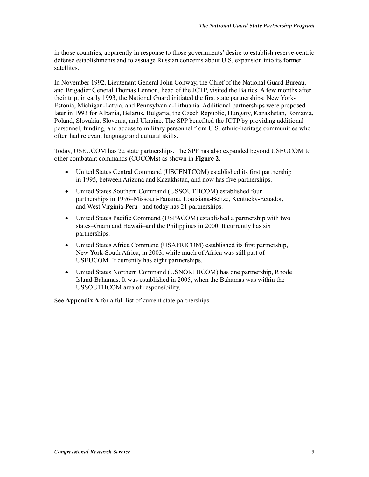in those countries, apparently in response to those governments' desire to establish reserve-centric defense establishments and to assuage Russian concerns about U.S. expansion into its former satellites.

In November 1992, Lieutenant General John Conway, the Chief of the National Guard Bureau, and Brigadier General Thomas Lennon, head of the JCTP, visited the Baltics. A few months after their trip, in early 1993, the National Guard initiated the first state partnerships: New York-Estonia, Michigan-Latvia, and Pennsylvania-Lithuania. Additional partnerships were proposed later in 1993 for Albania, Belarus, Bulgaria, the Czech Republic, Hungary, Kazakhstan, Romania, Poland, Slovakia, Slovenia, and Ukraine. The SPP benefited the JCTP by providing additional personnel, funding, and access to military personnel from U.S. ethnic-heritage communities who often had relevant language and cultural skills.

Today, USEUCOM has 22 state partnerships. The SPP has also expanded beyond USEUCOM to other combatant commands (COCOMs) as shown in **Figure 2**.

- United States Central Command (USCENTCOM) established its first partnership in 1995, between Arizona and Kazakhstan, and now has five partnerships.
- United States Southern Command (USSOUTHCOM) established four partnerships in 1996–Missouri-Panama, Louisiana-Belize, Kentucky-Ecuador, and West Virginia-Peru –and today has 21 partnerships.
- United States Pacific Command (USPACOM) established a partnership with two states–Guam and Hawaii–and the Philippines in 2000. It currently has six partnerships.
- United States Africa Command (USAFRICOM) established its first partnership, New York-South Africa, in 2003, while much of Africa was still part of USEUCOM. It currently has eight partnerships.
- United States Northern Command (USNORTHCOM) has one partnership, Rhode Island-Bahamas. It was established in 2005, when the Bahamas was within the USSOUTHCOM area of responsibility.

See **Appendix A** for a full list of current state partnerships.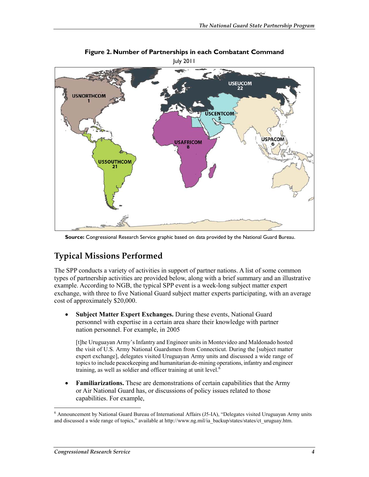

**Figure 2. Number of Partnerships in each Combatant Command** 

**Source:** Congressional Research Service graphic based on data provided by the National Guard Bureau.

## **Typical Missions Performed**

The SPP conducts a variety of activities in support of partner nations. A list of some common types of partnership activities are provided below, along with a brief summary and an illustrative example. According to NGB, the typical SPP event is a week-long subject matter expert exchange, with three to five National Guard subject matter experts participating, with an average cost of approximately \$20,000.

• **Subject Matter Expert Exchanges.** During these events, National Guard personnel with expertise in a certain area share their knowledge with partner nation personnel. For example, in 2005

[t]he Uruguayan Army's Infantry and Engineer units in Montevideo and Maldonado hosted the visit of U.S. Army National Guardsmen from Connecticut. During the [subject matter expert exchange], delegates visited Uruguayan Army units and discussed a wide range of topics to include peacekeeping and humanitarian de-mining operations, infantry and engineer training, as well as soldier and officer training at unit level.<sup>6</sup>

• **Familiarizations.** These are demonstrations of certain capabilities that the Army or Air National Guard has, or discussions of policy issues related to those capabilities. For example,

 6 Announcement by National Guard Bureau of International Affairs (J5-IA), "Delegates visited Uruguayan Army units and discussed a wide range of topics," available at http://www.ng.mil/ia\_backup/states/states/ct\_uruguay.htm.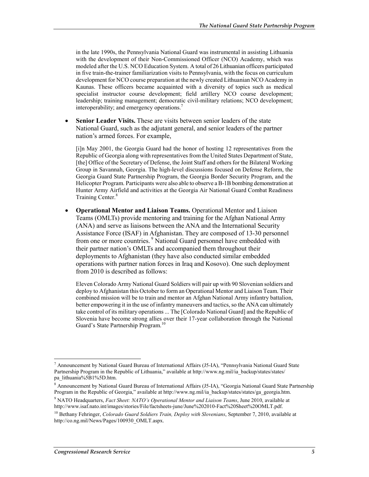in the late 1990s, the Pennsylvania National Guard was instrumental in assisting Lithuania with the development of their Non-Commissioned Officer (NCO) Academy, which was modeled after the U.S. NCO Education System. A total of 26 Lithuanian officers participated in five train-the-trainer familiarization visits to Pennsylvania, with the focus on curriculum development for NCO course preparation at the newly created Lithuanian NCO Academy in Kaunas. These officers became acquainted with a diversity of topics such as medical specialist instructor course development; field artillery NCO course development; leadership; training management; democratic civil-military relations; NCO development; interoperability; and emergency operations.<sup>7</sup>

**Senior Leader Visits.** These are visits between senior leaders of the state National Guard, such as the adjutant general, and senior leaders of the partner nation's armed forces. For example,

[i]n May 2001, the Georgia Guard had the honor of hosting 12 representatives from the Republic of Georgia along with representatives from the United States Department of State, [the] Office of the Secretary of Defense, the Joint Staff and others for the Bilateral Working Group in Savannah, Georgia. The high-level discussions focused on Defense Reform, the Georgia Guard State Partnership Program, the Georgia Border Security Program, and the Helicopter Program. Participants were also able to observe a B-1B bombing demonstration at Hunter Army Airfield and activities at the Georgia Air National Guard Combat Readiness Training Center.<sup>8</sup>

• **Operational Mentor and Liaison Teams.** Operational Mentor and Liaison Teams (OMLTs) provide mentoring and training for the Afghan National Army (ANA) and serve as liaisons between the ANA and the International Security Assistance Force (ISAF) in Afghanistan. They are composed of 13-30 personnel from one or more countries.<sup>9</sup> National Guard personnel have embedded with their partner nation's OMLTs and accompanied them throughout their deployments to Afghanistan (they have also conducted similar embedded operations with partner nation forces in Iraq and Kosovo). One such deployment from 2010 is described as follows:

Eleven Colorado Army National Guard Soldiers will pair up with 90 Slovenian soldiers and deploy to Afghanistan this October to form an Operational Mentor and Liaison Team. Their combined mission will be to train and mentor an Afghan National Army infantry battalion, better empowering it in the use of infantry maneuvers and tactics, so the ANA can ultimately take control of its military operations ... The [Colorado National Guard] and the Republic of Slovenia have become strong allies over their 17-year collaboration through the National Guard's State Partnership Program.<sup>10</sup>

<sup>7</sup> Announcement by National Guard Bureau of International Affairs (J5-IA), "Pennsylvania National Guard State Partnership Program in the Republic of Lithuania," available at http://www.ng.mil/ia\_backup/states/states/ pa\_lithuania%5B1%5D.htm.

<sup>&</sup>lt;sup>8</sup> Announcement by National Guard Bureau of International Affairs (J5-IA), "Georgia National Guard State Partnership Program in the Republic of Georgia," available at http://www.ng.mil/ia\_backup/states/states/ga\_georgia.htm.

<sup>9</sup> NATO Headquarters, *Fact Sheet: NATO's Operational Mentor and Liaison Teams*, June 2010, available at http://www.isaf.nato.int/images/stories/File/factsheets-june/June%202010-Fact%20Sheet%20OMLT.pdf.

<sup>10</sup> Bethany Fehringer, *Colorado Guard Soldiers Train, Deploy with Slovenians*, September 7, 2010, available at http://co.ng.mil/News/Pages/100930\_OMLT.aspx.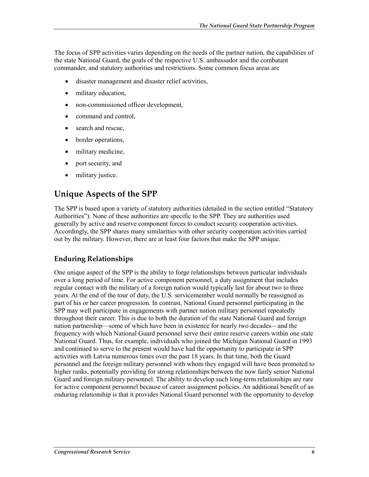The focus of SPP activities varies depending on the needs of the partner nation, the capabilities of the state National Guard, the goals of the respective U.S. ambassador and the combatant commander, and statutory authorities and restrictions. Some common focus areas are

- disaster management and disaster relief activities,
- military education,
- non-commissioned officer development,
- command and control,
- search and rescue,
- border operations,
- military medicine,
- port security, and
- military justice.

### **Unique Aspects of the SPP**

The SPP is based upon a variety of statutory authorities (detailed in the section entitled "Statutory Authorities"). None of these authorities are specific to the SPP. They are authorities used generally by active and reserve component forces to conduct security cooperation activities. Accordingly, the SPP shares many similarities with other security cooperation activities carried out by the military. However, there are at least four factors that make the SPP unique.

#### **Enduring Relationships**

One unique aspect of the SPP is the ability to forge relationships between particular individuals over a long period of time. For active component personnel, a duty assignment that includes regular contact with the military of a foreign nation would typically last for about two to three years. At the end of the tour of duty, the U.S. servicemember would normally be reassigned as part of his or her career progression. In contrast, National Guard personnel participating in the SPP may well participate in engagements with partner nation military personnel repeatedly throughout their career. This is due to both the duration of the state National Guard and foreign nation partnership—some of which have been in existence for nearly two decades—and the frequency with which National Guard personnel serve their entire reserve careers within one state National Guard. Thus, for example, individuals who joined the Michigan National Guard in 1993 and continued to serve to the present would have had the opportunity to participate in SPP activities with Latvia numerous times over the past 18 years. In that time, both the Guard personnel and the foreign military personnel with whom they engaged will have been promoted to higher ranks, potentially providing for strong relationships between the now fairly senior National Guard and foreign military personnel. The ability to develop such long-term relationships are rare for active component personnel because of career assignment policies. An additional benefit of an enduring relationship is that it provides National Guard personnel with the opportunity to develop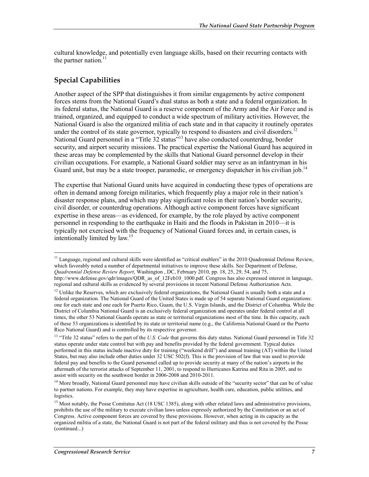cultural knowledge, and potentially even language skills, based on their recurring contacts with the partner nation. $<sup>11</sup>$ </sup>

### **Special Capabilities**

1

Another aspect of the SPP that distinguishes it from similar engagements by active component forces stems from the National Guard's dual status as both a state and a federal organization. In its federal status, the National Guard is a reserve component of the Army and the Air Force and is trained, organized, and equipped to conduct a wide spectrum of military activities. However, the National Guard is also the organized militia of each state and in that capacity it routinely operates under the control of its state governor, typically to respond to disasters and civil disorders.<sup>12</sup> National Guard personnel in a "Title 32 status"<sup>13</sup> have also conducted counterdrug, border security, and airport security missions. The practical expertise the National Guard has acquired in these areas may be complemented by the skills that National Guard personnel develop in their civilian occupations. For example, a National Guard soldier may serve as an infantryman in his Guard unit, but may be a state trooper, paramedic, or emergency dispatcher in his civilian job.<sup>14</sup>

The expertise that National Guard units have acquired in conducting these types of operations are often in demand among foreign militaries, which frequently play a major role in their nation's disaster response plans, and which may play significant roles in their nation's border security, civil disorder, or counterdrug operations. Although active component forces have significant expertise in these areas—as evidenced, for example, by the role played by active component personnel in responding to the earthquake in Haiti and the floods in Pakistan in 2010—it is typically not exercised with the frequency of National Guard forces and, in certain cases, is intentionally limited by law.<sup>15</sup>

<sup>&</sup>lt;sup>11</sup> Language, regional and cultural skills were identified as "critical enablers" in the 2010 Quadrennial Defense Review, which favorably noted a number of departmental initiatives to improve these skills. See Department of Defense, *Quadrennial Defense Review Report*, Washington , DC, February 2010, pp. 18, 25, 29, 54, and 75, http://www.defense.gov/qdr/images/QDR\_as\_of\_12Feb10\_1000.pdf. Congress has also expressed interest in language, regional and cultural skills as evidenced by several provisions in recent National Defense Authorization Acts.

 $12$  Unlike the Reserves, which are exclusively federal organizations, the National Guard is usually both a state and a federal organization. The National Guard of the United States is made up of 54 separate National Guard organizations: one for each state and one each for Puerto Rico, Guam, the U.S. Virgin Islands, and the District of Columbia. While the District of Columbia National Guard is an exclusively federal organization and operates under federal control at all times, the other 53 National Guards operate as state or territorial organizations most of the time. In this capacity, each of these 53 organizations is identified by its state or territorial name (e.g., the California National Guard or the Puerto Rico National Guard) and is controlled by its respective governor.

<sup>&</sup>lt;sup>13</sup> "Title 32 status" refers to the part of the *U.S. Code* that governs this duty status. National Guard personnel in Title 32 status operate under state control but with pay and benefits provided by the federal government. Typical duties performed in this status include inactive duty for training ("weekend drill") and annual training (AT) within the United States, but may also include other duties under 32 USC 502(f). This is the provision of law that was used to provide federal pay and benefits to the Guard personnel called up to provide security at many of the nation's airports in the aftermath of the terrorist attacks of September 11, 2001, to respond to Hurricanes Katrina and Rita in 2005, and to assist with security on the southwest border in 2006-2008 and 2010-2011.

<sup>&</sup>lt;sup>14</sup> More broadly, National Guard personnel may have civilian skills outside of the "security sector" that can be of value to partner nations. For example, they may have expertise in agriculture, health care, education, public utilities, and logistics.

<sup>&</sup>lt;sup>15</sup> Most notably, the Posse Comitatus Act (18 USC 1385), along with other related laws and administrative provisions, prohibits the use of the military to execute civilian laws unless expressly authorized by the Constitution or an act of Congress. Active component forces are covered by these provisions. However, when acting in its capacity as the organized militia of a state, the National Guard is not part of the federal military and thus is not covered by the Posse (continued...)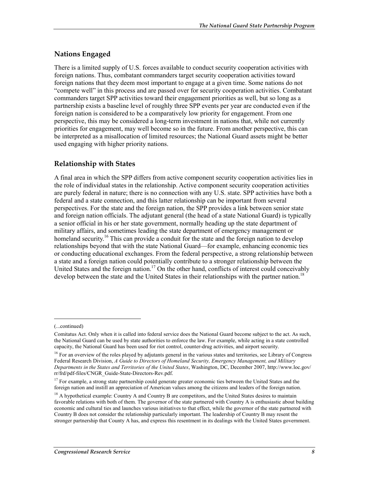### **Nations Engaged**

There is a limited supply of U.S. forces available to conduct security cooperation activities with foreign nations. Thus, combatant commanders target security cooperation activities toward foreign nations that they deem most important to engage at a given time. Some nations do not "compete well" in this process and are passed over for security cooperation activities. Combatant commanders target SPP activities toward their engagement priorities as well, but so long as a partnership exists a baseline level of roughly three SPP events per year are conducted even if the foreign nation is considered to be a comparatively low priority for engagement. From one perspective, this may be considered a long-term investment in nations that, while not currently priorities for engagement, may well become so in the future. From another perspective, this can be interpreted as a misallocation of limited resources; the National Guard assets might be better used engaging with higher priority nations.

### **Relationship with States**

A final area in which the SPP differs from active component security cooperation activities lies in the role of individual states in the relationship. Active component security cooperation activities are purely federal in nature; there is no connection with any U.S. state. SPP activities have both a federal and a state connection, and this latter relationship can be important from several perspectives. For the state and the foreign nation, the SPP provides a link between senior state and foreign nation officials. The adjutant general (the head of a state National Guard) is typically a senior official in his or her state government, normally heading up the state department of military affairs, and sometimes leading the state department of emergency management or homeland security.<sup>16</sup> This can provide a conduit for the state and the foreign nation to develop relationships beyond that with the state National Guard—for example, enhancing economic ties or conducting educational exchanges. From the federal perspective, a strong relationship between a state and a foreign nation could potentially contribute to a stronger relationship between the United States and the foreign nation.<sup>17</sup> On the other hand, conflicts of interest could conceivably develop between the state and the United States in their relationships with the partner nation.<sup>18</sup>

<sup>(...</sup>continued)

Comitatus Act. Only when it is called into federal service does the National Guard become subject to the act. As such, the National Guard can be used by state authorities to enforce the law. For example, while acting in a state controlled capacity, the National Guard has been used for riot control, counter-drug activities, and airport security.

<sup>&</sup>lt;sup>16</sup> For an overview of the roles played by adjutants general in the various states and territories, see Library of Congress Federal Research Division, *A Guide to Directors of Homeland Security, Emergency Management, and Military Departments in the States and Territories of the United States*, Washington, DC, December 2007, http://www.loc.gov/ rr/frd/pdf-files/CNGR\_Guide-State-Directors-Rev.pdf.

 $17$  For example, a strong state partnership could generate greater economic ties between the United States and the foreign nation and instill an appreciation of American values among the citizens and leaders of the foreign nation.

<sup>&</sup>lt;sup>18</sup> A hypothetical example: Country A and Country B are competitors, and the United States desires to maintain favorable relations with both of them. The governor of the state partnered with Country A is enthusiastic about building economic and cultural ties and launches various initiatives to that effect, while the governor of the state partnered with Country B does not consider the relationship particularly important. The leadership of Country B may resent the stronger partnership that County A has, and express this resentment in its dealings with the United States government.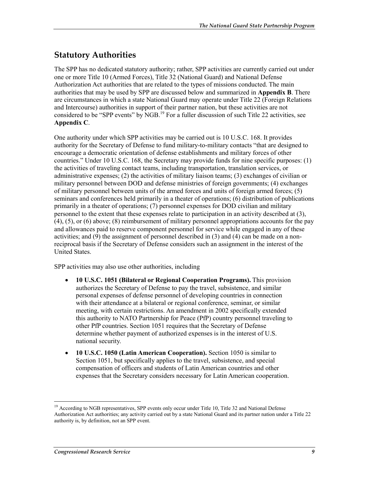## **Statutory Authorities**

The SPP has no dedicated statutory authority; rather, SPP activities are currently carried out under one or more Title 10 (Armed Forces), Title 32 (National Guard) and National Defense Authorization Act authorities that are related to the types of missions conducted. The main authorities that may be used by SPP are discussed below and summarized in **Appendix B**. There are circumstances in which a state National Guard may operate under Title 22 (Foreign Relations and Intercourse) authorities in support of their partner nation, but these activities are not considered to be "SPP events" by  $\overrightarrow{NGB}$ .<sup>19</sup> For a fuller discussion of such Title 22 activities, see **Appendix C**.

One authority under which SPP activities may be carried out is 10 U.S.C. 168. It provides authority for the Secretary of Defense to fund military-to-military contacts "that are designed to encourage a democratic orientation of defense establishments and military forces of other countries." Under 10 U.S.C. 168, the Secretary may provide funds for nine specific purposes: (1) the activities of traveling contact teams, including transportation, translation services, or administrative expenses; (2) the activities of military liaison teams; (3) exchanges of civilian or military personnel between DOD and defense ministries of foreign governments; (4) exchanges of military personnel between units of the armed forces and units of foreign armed forces; (5) seminars and conferences held primarily in a theater of operations; (6) distribution of publications primarily in a theater of operations; (7) personnel expenses for DOD civilian and military personnel to the extent that these expenses relate to participation in an activity described at (3), (4), (5), or (6) above; (8) reimbursement of military personnel appropriations accounts for the pay and allowances paid to reserve component personnel for service while engaged in any of these activities; and (9) the assignment of personnel described in (3) and (4) can be made on a nonreciprocal basis if the Secretary of Defense considers such an assignment in the interest of the United States.

SPP activities may also use other authorities, including

- **10 U.S.C. 1051 (Bilateral or Regional Cooperation Programs).** This provision authorizes the Secretary of Defense to pay the travel, subsistence, and similar personal expenses of defense personnel of developing countries in connection with their attendance at a bilateral or regional conference, seminar, or similar meeting, with certain restrictions. An amendment in 2002 specifically extended this authority to NATO Partnership for Peace (PfP) country personnel traveling to other PfP countries. Section 1051 requires that the Secretary of Defense determine whether payment of authorized expenses is in the interest of U.S. national security.
- **10 U.S.C. 1050 (Latin American Cooperation).** Section 1050 is similar to Section 1051, but specifically applies to the travel, subsistence, and special compensation of officers and students of Latin American countries and other expenses that the Secretary considers necessary for Latin American cooperation.

<sup>&</sup>lt;sup>19</sup> According to NGB representatives, SPP events only occur under Title 10, Title 32 and National Defense Authorization Act authorities; any activity carried out by a state National Guard and its partner nation under a Title 22 authority is, by definition, not an SPP event.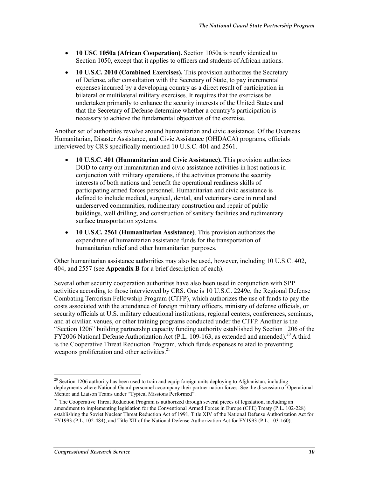- **10 USC 1050a (African Cooperation).** Section 1050a is nearly identical to Section 1050, except that it applies to officers and students of African nations.
- **10 U.S.C. 2010 (Combined Exercises).** This provision authorizes the Secretary of Defense, after consultation with the Secretary of State, to pay incremental expenses incurred by a developing country as a direct result of participation in bilateral or multilateral military exercises. It requires that the exercises be undertaken primarily to enhance the security interests of the United States and that the Secretary of Defense determine whether a country's participation is necessary to achieve the fundamental objectives of the exercise.

Another set of authorities revolve around humanitarian and civic assistance. Of the Overseas Humanitarian, Disaster Assistance, and Civic Assistance (OHDACA) programs, officials interviewed by CRS specifically mentioned 10 U.S.C. 401 and 2561.

- **10 U.S.C. 401 (Humanitarian and Civic Assistance).** This provision authorizes DOD to carry out humanitarian and civic assistance activities in host nations in conjunction with military operations, if the activities promote the security interests of both nations and benefit the operational readiness skills of participating armed forces personnel. Humanitarian and civic assistance is defined to include medical, surgical, dental, and veterinary care in rural and underserved communities, rudimentary construction and repair of public buildings, well drilling, and construction of sanitary facilities and rudimentary surface transportation systems.
- **10 U.S.C. 2561 (Humanitarian Assistance)**. This provision authorizes the expenditure of humanitarian assistance funds for the transportation of humanitarian relief and other humanitarian purposes.

Other humanitarian assistance authorities may also be used, however, including 10 U.S.C. 402, 404, and 2557 (see **Appendix B** for a brief description of each).

Several other security cooperation authorities have also been used in conjunction with SPP activities according to those interviewed by CRS. One is 10 U.S.C. 2249c, the Regional Defense Combating Terrorism Fellowship Program (CTFP), which authorizes the use of funds to pay the costs associated with the attendance of foreign military officers, ministry of defense officials, or security officials at U.S. military educational institutions, regional centers, conferences, seminars, and at civilian venues, or other training programs conducted under the CTFP. Another is the "Section 1206" building partnership capacity funding authority established by Section 1206 of the FY2006 National Defense Authorization Act (P.L. 109-163, as extended and amended).<sup>20</sup> A third is the Cooperative Threat Reduction Program, which funds expenses related to preventing weapons proliferation and other activities. $2<sup>1</sup>$ 

 $20$  Section 1206 authority has been used to train and equip foreign units deploying to Afghanistan, including deployments where National Guard personnel accompany their partner nation forces. See the discussion of Operational Mentor and Liaison Teams under "Typical Missions Performed".

<sup>&</sup>lt;sup>21</sup> The Cooperative Threat Reduction Program is authorized through several pieces of legislation, including an amendment to implementing legislation for the Conventional Armed Forces in Europe (CFE) Treaty (P.L. 102-228) establishing the Soviet Nuclear Threat Reduction Act of 1991, Title XIV of the National Defense Authorization Act for FY1993 (P.L. 102-484), and Title XII of the National Defense Authorization Act for FY1993 (P.L. 103-160).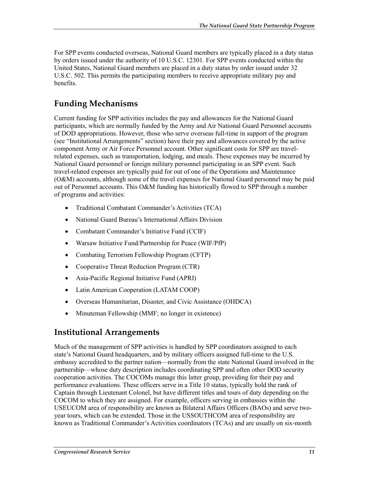For SPP events conducted overseas, National Guard members are typically placed in a duty status by orders issued under the authority of 10 U.S.C. 12301. For SPP events conducted within the United States, National Guard members are placed in a duty status by order issued under 32 U.S.C. 502. This permits the participating members to receive appropriate military pay and benefits.

## **Funding Mechanisms**

Current funding for SPP activities includes the pay and allowances for the National Guard participants, which are normally funded by the Army and Air National Guard Personnel accounts of DOD appropriations. However, those who serve overseas full-time in support of the program (see "Institutional Arrangements" section) have their pay and allowances covered by the active component Army or Air Force Personnel account. Other significant costs for SPP are travelrelated expenses, such as transportation, lodging, and meals. These expenses may be incurred by National Guard personnel or foreign military personnel participating in an SPP event. Such travel-related expenses are typically paid for out of one of the Operations and Maintenance (O&M) accounts, although some of the travel expenses for National Guard personnel may be paid out of Personnel accounts. This O&M funding has historically flowed to SPP through a number of programs and activities:

- Traditional Combatant Commander's Activities (TCA)
- National Guard Bureau's International Affairs Division
- Combatant Commander's Initiative Fund (CCIF)
- Warsaw Initiative Fund/Partnership for Peace (WIF/PfP)
- Combating Terrorism Fellowship Program (CFTP)
- Cooperative Threat Reduction Program (CTR)
- Asia-Pacific Regional Initiative Fund (APRI)
- Latin American Cooperation (LATAM COOP)
- Overseas Humanitarian, Disaster, and Civic Assistance (OHDCA)
- Minuteman Fellowship (MMF; no longer in existence)

### **Institutional Arrangements**

Much of the management of SPP activities is handled by SPP coordinators assigned to each state's National Guard headquarters, and by military officers assigned full-time to the U.S. embassy accredited to the partner nation—normally from the state National Guard involved in the partnership—whose duty description includes coordinating SPP and often other DOD security cooperation activities. The COCOMs manage this latter group, providing for their pay and performance evaluations. These officers serve in a Title 10 status, typically hold the rank of Captain through Lieutenant Colonel, but have different titles and tours of duty depending on the COCOM to which they are assigned. For example, officers serving in embassies within the USEUCOM area of responsibility are known as Bilateral Affairs Officers (BAOs) and serve twoyear tours, which can be extended. Those in the USSOUTHCOM area of responsibility are known as Traditional Commander's Activities coordinators (TCAs) and are usually on six-month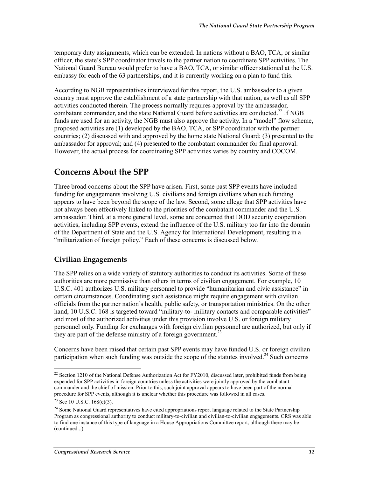temporary duty assignments, which can be extended. In nations without a BAO, TCA, or similar officer, the state's SPP coordinator travels to the partner nation to coordinate SPP activities. The National Guard Bureau would prefer to have a BAO, TCA, or similar officer stationed at the U.S. embassy for each of the 63 partnerships, and it is currently working on a plan to fund this.

According to NGB representatives interviewed for this report, the U.S. ambassador to a given country must approve the establishment of a state partnership with that nation, as well as all SPP activities conducted therein. The process normally requires approval by the ambassador, combatant commander, and the state National Guard before activities are conducted.<sup>22</sup> If NGB funds are used for an activity, the NGB must also approve the activity. In a "model" flow scheme, proposed activities are (1) developed by the BAO, TCA, or SPP coordinator with the partner countries; (2) discussed with and approved by the home state National Guard; (3) presented to the ambassador for approval; and (4) presented to the combatant commander for final approval. However, the actual process for coordinating SPP activities varies by country and COCOM.

### **Concerns About the SPP**

Three broad concerns about the SPP have arisen. First, some past SPP events have included funding for engagements involving U.S. civilians and foreign civilians when such funding appears to have been beyond the scope of the law. Second, some allege that SPP activities have not always been effectively linked to the priorities of the combatant commander and the U.S. ambassador. Third, at a more general level, some are concerned that DOD security cooperation activities, including SPP events, extend the influence of the U.S. military too far into the domain of the Department of State and the U.S. Agency for International Development, resulting in a "militarization of foreign policy." Each of these concerns is discussed below.

### **Civilian Engagements**

The SPP relies on a wide variety of statutory authorities to conduct its activities. Some of these authorities are more permissive than others in terms of civilian engagement. For example, 10 U.S.C. 401 authorizes U.S. military personnel to provide "humanitarian and civic assistance" in certain circumstances. Coordinating such assistance might require engagement with civilian officials from the partner nation's health, public safety, or transportation ministries. On the other hand, 10 U.S.C. 168 is targeted toward "military-to- military contacts and comparable activities" and most of the authorized activities under this provision involve U.S. or foreign military personnel only. Funding for exchanges with foreign civilian personnel are authorized, but only if they are part of the defense ministry of a foreign government.<sup>23</sup>

Concerns have been raised that certain past SPP events may have funded U.S. or foreign civilian participation when such funding was outside the scope of the statutes involved.<sup>24</sup> Such concerns

 $22$  Section 1210 of the National Defense Authorization Act for FY2010, discussed later, prohibited funds from being expended for SPP activities in foreign countries unless the activities were jointly approved by the combatant commander and the chief of mission. Prior to this, such joint approval appears to have been part of the normal procedure for SPP events, although it is unclear whether this procedure was followed in all cases.

<sup>&</sup>lt;sup>23</sup> See 10 U.S.C. 168(c)(3).

<sup>&</sup>lt;sup>24</sup> Some National Guard representatives have cited appropriations report language related to the State Partnership Program as congressional authority to conduct military-to-civilian and civilian-to-civilian engagements. CRS was able to find one instance of this type of language in a House Appropriations Committee report, although there may be (continued...)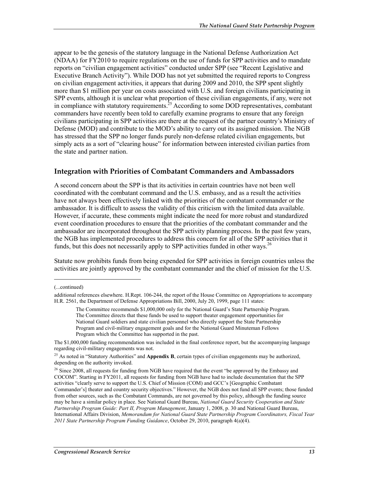appear to be the genesis of the statutory language in the National Defense Authorization Act (NDAA) for FY2010 to require regulations on the use of funds for SPP activities and to mandate reports on "civilian engagement activities" conducted under SPP (see "Recent Legislative and Executive Branch Activity"). While DOD has not yet submitted the required reports to Congress on civilian engagement activities, it appears that during 2009 and 2010, the SPP spent slightly more than \$1 million per year on costs associated with U.S. and foreign civilians participating in SPP events, although it is unclear what proportion of these civilian engagements, if any, were not in compliance with statutory requirements.<sup>25</sup> According to some DOD representatives, combatant commanders have recently been told to carefully examine programs to ensure that any foreign civilians participating in SPP activities are there at the request of the partner country's Ministry of Defense (MOD) and contribute to the MOD's ability to carry out its assigned mission. The NGB has stressed that the SPP no longer funds purely non-defense related civilian engagements, but simply acts as a sort of "clearing house" for information between interested civilian parties from the state and partner nation.

#### **Integration with Priorities of Combatant Commanders and Ambassadors**

A second concern about the SPP is that its activities in certain countries have not been well coordinated with the combatant command and the U.S. embassy, and as a result the activities have not always been effectively linked with the priorities of the combatant commander or the ambassador. It is difficult to assess the validity of this criticism with the limited data available. However, if accurate, these comments might indicate the need for more robust and standardized event coordination procedures to ensure that the priorities of the combatant commander and the ambassador are incorporated throughout the SPP activity planning process. In the past few years, the NGB has implemented procedures to address this concern for all of the SPP activities that it funds, but this does not necessarily apply to SPP activities funded in other ways.<sup>26</sup>

Statute now prohibits funds from being expended for SPP activities in foreign countries unless the activities are jointly approved by the combatant commander and the chief of mission for the U.S.

(...continued)

additional references elsewhere. H.Rept. 106-244, the report of the House Committee on Appropriations to accompany H.R. 2561, the Department of Defense Appropriations Bill, 2000, July 20, 1999, page 111 states:

The Committee recommends \$1,000,000 only for the National Guard's State Partnership Program. The Committee directs that these funds be used to support theater engagement opportunities for National Guard soldiers and state civilian personnel who directly support the State Partnership Program and civil-military engagement goals and for the National Guard Minuteman Fellows Program which the Committee has supported in the past.

The \$1,000,000 funding recommendation was included in the final conference report, but the accompanying language regarding civil-military engagements was not.

<sup>&</sup>lt;sup>25</sup> As noted in "Statutory Authorities" and **Appendix B**, certain types of civilian engagements may be authorized, depending on the authority invoked.

<sup>&</sup>lt;sup>26</sup> Since 2008, all requests for funding from NGB have required that the event "be approved by the Embassy and COCOM". Starting in FY2011, all requests for funding from NGB have had to include documentation that the SPP activities "clearly serve to support the U.S. Chief of Mission (COM) and GCC's [Geographic Combatant Commander's] theater and country security objectives." However, the NGB does not fund all SPP events; those funded from other sources, such as the Combatant Commands, are not governed by this policy, although the funding source may be have a similar policy in place. See National Guard Bureau, *National Guard Security Cooperation and State Partnership Program Guide: Part II, Program Management*, January 1, 2008, p. 30 and National Guard Bureau, International Affairs Division, *Memorandum for National Guard State Partnership Program Coordinators, Fiscal Year 2011 State Partnership Program Funding Guidance*, October 29, 2010, paragraph 4(a)(4).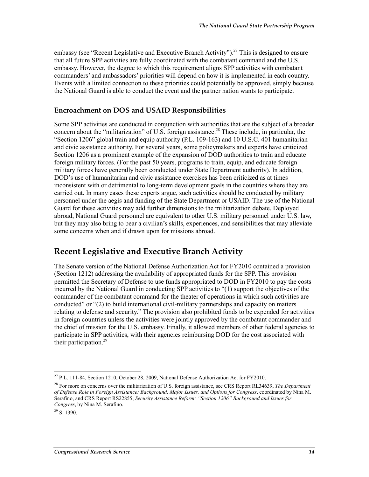embassy (see "Recent Legislative and Executive Branch Activity").<sup>27</sup> This is designed to ensure that all future SPP activities are fully coordinated with the combatant command and the U.S. embassy. However, the degree to which this requirement aligns SPP activities with combatant commanders' and ambassadors' priorities will depend on how it is implemented in each country. Events with a limited connection to these priorities could potentially be approved, simply because the National Guard is able to conduct the event and the partner nation wants to participate.

#### **Encroachment on DOS and USAID Responsibilities**

Some SPP activities are conducted in conjunction with authorities that are the subject of a broader concern about the "militarization" of U.S. foreign assistance.<sup>28</sup> These include, in particular, the "Section 1206" global train and equip authority (P.L. 109-163) and 10 U.S.C. 401 humanitarian and civic assistance authority. For several years, some policymakers and experts have criticized Section 1206 as a prominent example of the expansion of DOD authorities to train and educate foreign military forces. (For the past 50 years, programs to train, equip, and educate foreign military forces have generally been conducted under State Department authority). In addition, DOD's use of humanitarian and civic assistance exercises has been criticized as at times inconsistent with or detrimental to long-term development goals in the countries where they are carried out. In many cases these experts argue, such activities should be conducted by military personnel under the aegis and funding of the State Department or USAID. The use of the National Guard for these activities may add further dimensions to the militarization debate. Deployed abroad, National Guard personnel are equivalent to other U.S. military personnel under U.S. law, but they may also bring to bear a civilian's skills, experiences, and sensibilities that may alleviate some concerns when and if drawn upon for missions abroad.

### **Recent Legislative and Executive Branch Activity**

The Senate version of the National Defense Authorization Act for FY2010 contained a provision (Section 1212) addressing the availability of appropriated funds for the SPP. This provision permitted the Secretary of Defense to use funds appropriated to DOD in FY2010 to pay the costs incurred by the National Guard in conducting SPP activities to "(1) support the objectives of the commander of the combatant command for the theater of operations in which such activities are conducted" or "(2) to build international civil-military partnerships and capacity on matters relating to defense and security." The provision also prohibited funds to be expended for activities in foreign countries unless the activities were jointly approved by the combatant commander and the chief of mission for the U.S. embassy. Finally, it allowed members of other federal agencies to participate in SPP activities, with their agencies reimbursing DOD for the cost associated with their participation.<sup>29</sup>

<sup>1</sup>  $^{27}$  P.L. 111-84, Section 1210, October 28, 2009, National Defense Authorization Act for FY2010.

<sup>28</sup> For more on concerns over the militarization of U.S. foreign assistance, see CRS Report RL34639, *The Department of Defense Role in Foreign Assistance: Background, Major Issues, and Options for Congress*, coordinated by Nina M. Serafino, and CRS Report RS22855, *Security Assistance Reform: "Section 1206" Background and Issues for Congress*, by Nina M. Serafino.

 $^{29}$  S. 1390.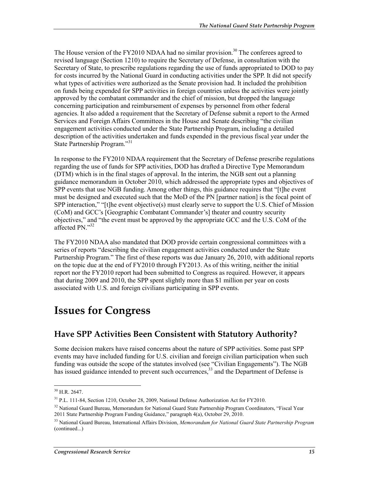The House version of the FY2010 NDAA had no similar provision.<sup>30</sup> The conferees agreed to revised language (Section 1210) to require the Secretary of Defense, in consultation with the Secretary of State, to prescribe regulations regarding the use of funds appropriated to DOD to pay for costs incurred by the National Guard in conducting activities under the SPP. It did not specify what types of activities were authorized as the Senate provision had. It included the prohibition on funds being expended for SPP activities in foreign countries unless the activities were jointly approved by the combatant commander and the chief of mission, but dropped the language concerning participation and reimbursement of expenses by personnel from other federal agencies. It also added a requirement that the Secretary of Defense submit a report to the Armed Services and Foreign Affairs Committees in the House and Senate describing "the civilian engagement activities conducted under the State Partnership Program, including a detailed description of the activities undertaken and funds expended in the previous fiscal year under the State Partnership Program."<sup>31</sup>

In response to the FY2010 NDAA requirement that the Secretary of Defense prescribe regulations regarding the use of funds for SPP activities, DOD has drafted a Directive Type Memorandum (DTM) which is in the final stages of approval. In the interim, the NGB sent out a planning guidance memorandum in October 2010, which addressed the appropriate types and objectives of SPP events that use NGB funding. Among other things, this guidance requires that "[t]he event must be designed and executed such that the MoD of the PN [partner nation] is the focal point of SPP interaction," "[t]he event objective(s) must clearly serve to support the U.S. Chief of Mission (CoM) and GCC's [Geographic Combatant Commander's] theater and country security objectives," and "the event must be approved by the appropriate GCC and the U.S. CoM of the affected PN."32

The FY2010 NDAA also mandated that DOD provide certain congressional committees with a series of reports "describing the civilian engagement activities conducted under the State Partnership Program." The first of these reports was due January 26, 2010, with additional reports on the topic due at the end of FY2010 through FY2013. As of this writing, neither the initial report nor the FY2010 report had been submitted to Congress as required. However, it appears that during 2009 and 2010, the SPP spent slightly more than \$1 million per year on costs associated with U.S. and foreign civilians participating in SPP events.

## **Issues for Congress**

### **Have SPP Activities Been Consistent with Statutory Authority?**

Some decision makers have raised concerns about the nature of SPP activities. Some past SPP events may have included funding for U.S. civilian and foreign civilian participation when such funding was outside the scope of the statutes involved (see "Civilian Engagements"). The NGB has issued guidance intended to prevent such occurrences,<sup>33</sup> and the Department of Defense is

 $30$  H.R. 2647.

<sup>31</sup> P.L. 111-84, Section 1210, October 28, 2009, National Defense Authorization Act for FY2010.

<sup>&</sup>lt;sup>32</sup> National Guard Bureau, Memorandum for National Guard State Partnership Program Coordinators, "Fiscal Year 2011 State Partnership Program Funding Guidance," paragraph 4(a), October 29, 2010.

<sup>33</sup> National Guard Bureau, International Affairs Division, *Memorandum for National Guard State Partnership Program*  (continued...)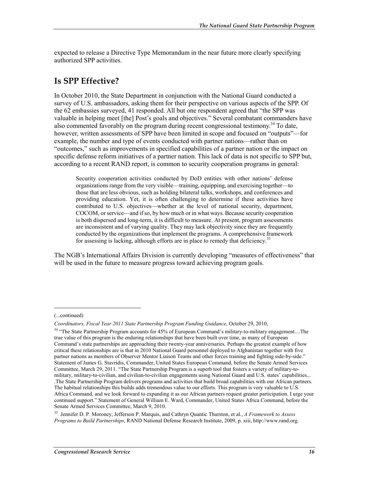expected to release a Directive Type Memorandum in the near future more clearly specifying authorized SPP activities.

## **Is SPP Effective?**

In October 2010, the State Department in conjunction with the National Guard conducted a survey of U.S. ambassadors, asking them for their perspective on various aspects of the SPP. Of the 62 embassies surveyed, 41 responded. All but one respondent agreed that "the SPP was valuable in helping meet [the] Post's goals and objectives." Several combatant commanders have also commented favorably on the program during recent congressional testimony.<sup>34</sup> To date, however, written assessments of SPP have been limited in scope and focused on "outputs"—for example, the number and type of events conducted with partner nations—rather than on "outcomes," such as improvements in specified capabilities of a partner nation or the impact on specific defense reform initiatives of a partner nation. This lack of data is not specific to SPP but, according to a recent RAND report, is common to security cooperation programs in general:

Security cooperation activities conducted by DoD entities with other nations' defense organizations range from the very visible—training, equipping, and exercising together—to those that are less obvious, such as holding bilateral talks, workshops, and conferences and providing education. Yet, it is often challenging to determine if these activities have contributed to U.S. objectives—whether at the level of national security, department, COCOM, or service—and if so, by how much or in what ways. Because security cooperation is both dispersed and long-term, it is difficult to measure. At present, program assessments are inconsistent and of varying quality. They may lack objectivity since they are frequently conducted by the organizations that implement the programs. A comprehensive framework for assessing is lacking, although efforts are in place to remedy that deficiency.<sup>35</sup>

The NGB's International Affairs Division is currently developing "measures of effectiveness" that will be used in the future to measure progress toward achieving program goals.

 $\overline{a}$ 

<sup>(...</sup>continued)

*Coordinators, Fiscal Year 2011 State Partnership Program Funding Guidance*, October 29, 2010,

<sup>&</sup>lt;sup>34</sup> "The State Partnership Program accounts for 45% of European Command's military-to-military engagement....The true value of this program is the enduring relationships that have been built over time, as many of European Command's state partnerships are approaching their twenty-year anniversaries. Perhaps the greatest example of how critical these relationships are is that in 2010 National Guard personnel deployed to Afghanistan together with five partner nations as members of Observer Mentor Liaison Teams and other forces training and fighting side-by-side." Statement of James G. Stavridis, Commander, United States European Command, before the Senate Armed Services Committee, March 29, 2011. "The State Partnership Program is a superb tool that fosters a variety of military-tomilitary, military-to-civilian, and civilian-to-civilian engagements using National Guard and U.S. states' capabilities... .The State Partnership Program delivers programs and activities that build broad capabilities with our African partners. The habitual relationships this builds adds tremendous value to our efforts. This program is very valuable to U.S. Africa Command, and we look forward to expanding it as our African partners request greater participation. I urge your continued support." Statement of General William E. Ward, Commander, United States Africa Command, before the Senate Armed Services Committee, March 9, 2010.

<sup>35</sup> Jennifer D. P. Moroney, Jefferson P. Marquis, and Cathryn Quantic Thurston, et al., *A Framework to Assess Programs to Build Partnerships*, RAND National Defense Research Institute, 2009, p. xiii, http://www.rand.org.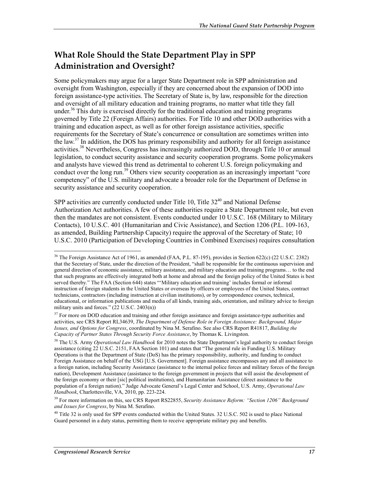## **What Role Should the State Department Play in SPP Administration and Oversight?**

Some policymakers may argue for a larger State Department role in SPP administration and oversight from Washington, especially if they are concerned about the expansion of DOD into foreign assistance-type activities. The Secretary of State is, by law, responsible for the direction and oversight of all military education and training programs, no matter what title they fall under.<sup>36</sup> This duty is exercised directly for the traditional education and training programs governed by Title 22 (Foreign Affairs) authorities. For Title 10 and other DOD authorities with a training and education aspect, as well as for other foreign assistance activities, specific requirements for the Secretary of State's concurrence or consultation are sometimes written into the law.<sup>37</sup> In addition, the DOS has primary responsibility and authority for all foreign assistance activities.<sup>38</sup> Nevertheless, Congress has increasingly authorized DOD, through Title 10 or annual legislation, to conduct security assistance and security cooperation programs. Some policymakers and analysts have viewed this trend as detrimental to coherent U.S. foreign policymaking and conduct over the long run.<sup>39</sup> Others view security cooperation as an increasingly important "core competency" of the U.S. military and advocate a broader role for the Department of Defense in security assistance and security cooperation.

SPP activities are currently conducted under Title 10, Title  $32^{40}$  and National Defense Authorization Act authorities. A few of these authorities require a State Department role, but even then the mandates are not consistent. Events conducted under 10 U.S.C. 168 (Military to Military Contacts), 10 U.S.C. 401 (Humanitarian and Civic Assistance), and Section 1206 (P.L. 109-163, as amended, Building Partnership Capacity) require the approval of the Secretary of State; 10 U.S.C. 2010 (Participation of Developing Countries in Combined Exercises) requires consultation

<sup>&</sup>lt;sup>36</sup> The Foreign Assistance Act of 1961, as amended (FAA, P.L. 87-195), provides in Section 622(c) (22 U.S.C. 2382) that the Secretary of State, under the direction of the President, "shall be responsible for the continuous supervision and general direction of economic assistance, military assistance, and military education and training programs… to the end that such programs are effectively integrated both at home and abroad and the foreign policy of the United States is best served thereby." The FAA (Section 644) states "'Military education and training' includes formal or informal instruction of foreign students in the United States or overseas by officers or employees of the United States, contract technicians, contractors (including instruction at civilian institutions), or by correspondence courses, technical, educational, or information publications and media of all kinds, training aids, orientation, and military advice to foreign military units and forces."  $(22 \text{ U.S.C. } 2403(n))$ 

<sup>&</sup>lt;sup>37</sup> For more on DOD education and training and other foreign assistance and foreign assistance-type authorities and activities, see CRS Report RL34639, *The Department of Defense Role in Foreign Assistance: Background, Major Issues, and Options for Congress*, coordinated by Nina M. Serafino. See also CRS Report R41817, *Building the Capacity of Partner States Through Security Force Assistance*, by Thomas K. Livingston.

<sup>&</sup>lt;sup>38</sup> The U.S. Army *Operational Law Handbook* for 2010 notes the State Department's legal authority to conduct foreign assistance (citing 22 U.S.C. 2151, FAA Section 101) and states that "The general rule in Funding U.S. Military Operations is that the Department of State (DoS) has the primary responsibility, authority, and funding to conduct Foreign Assistance on behalf of the USG [U.S. Government]. Foreign assistance encompasses any and all assistance to a foreign nation, including Security Assistance (assistance to the internal police forces and military forces of the foreign nation), Development Assistance (assistance to the foreign government in projects that will assist the development of the foreign economy or their [sic] political institutions), and Humanitarian Assistance (direct assistance to the population of a foreign nation)." Judge Advocate General's Legal Center and School, U.S. Army, *Operational Law Handbook*, Charlottesville, VA, 2010, pp. 223-224.

<sup>39</sup> For more information on this, see CRS Report RS22855, *Security Assistance Reform: "Section 1206" Background and Issues for Congress*, by Nina M. Serafino.

 $^{40}$  Title 32 is only used for SPP events conducted within the United States. 32 U.S.C. 502 is used to place National Guard personnel in a duty status, permitting them to receive appropriate military pay and benefits.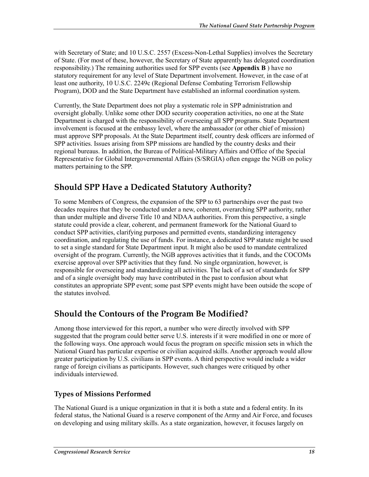with Secretary of State; and 10 U.S.C. 2557 (Excess-Non-Lethal Supplies) involves the Secretary of State. (For most of these, however, the Secretary of State apparently has delegated coordination responsibility.) The remaining authorities used for SPP events (see **Appendix B** ) have no statutory requirement for any level of State Department involvement. However, in the case of at least one authority, 10 U.S.C. 2249c (Regional Defense Combating Terrorism Fellowship Program), DOD and the State Department have established an informal coordination system.

Currently, the State Department does not play a systematic role in SPP administration and oversight globally. Unlike some other DOD security cooperation activities, no one at the State Department is charged with the responsibility of overseeing all SPP programs. State Department involvement is focused at the embassy level, where the ambassador (or other chief of mission) must approve SPP proposals. At the State Department itself, country desk officers are informed of SPP activities. Issues arising from SPP missions are handled by the country desks and their regional bureaus. In addition, the Bureau of Political-Military Affairs and Office of the Special Representative for Global Intergovernmental Affairs (S/SRGIA) often engage the NGB on policy matters pertaining to the SPP.

## **Should SPP Have a Dedicated Statutory Authority?**

To some Members of Congress, the expansion of the SPP to 63 partnerships over the past two decades requires that they be conducted under a new, coherent, overarching SPP authority, rather than under multiple and diverse Title 10 and NDAA authorities. From this perspective, a single statute could provide a clear, coherent, and permanent framework for the National Guard to conduct SPP activities, clarifying purposes and permitted events, standardizing interagency coordination, and regulating the use of funds. For instance, a dedicated SPP statute might be used to set a single standard for State Department input. It might also be used to mandate centralized oversight of the program. Currently, the NGB approves activities that it funds, and the COCOMs exercise approval over SPP activities that they fund. No single organization, however, is responsible for overseeing and standardizing all activities. The lack of a set of standards for SPP and of a single oversight body may have contributed in the past to confusion about what constitutes an appropriate SPP event; some past SPP events might have been outside the scope of the statutes involved.

### **Should the Contours of the Program Be Modified?**

Among those interviewed for this report, a number who were directly involved with SPP suggested that the program could better serve U.S. interests if it were modified in one or more of the following ways. One approach would focus the program on specific mission sets in which the National Guard has particular expertise or civilian acquired skills. Another approach would allow greater participation by U.S. civilians in SPP events. A third perspective would include a wider range of foreign civilians as participants. However, such changes were critiqued by other individuals interviewed.

### **Types of Missions Performed**

The National Guard is a unique organization in that it is both a state and a federal entity. In its federal status, the National Guard is a reserve component of the Army and Air Force, and focuses on developing and using military skills. As a state organization, however, it focuses largely on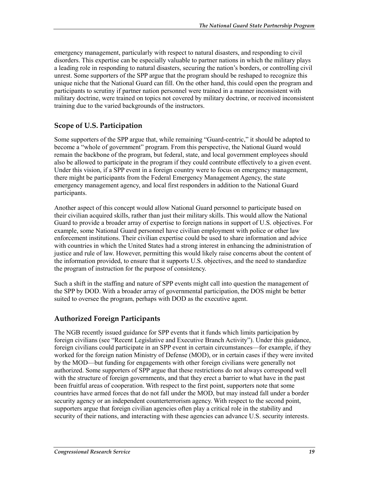emergency management, particularly with respect to natural disasters, and responding to civil disorders. This expertise can be especially valuable to partner nations in which the military plays a leading role in responding to natural disasters, securing the nation's borders, or controlling civil unrest. Some supporters of the SPP argue that the program should be reshaped to recognize this unique niche that the National Guard can fill. On the other hand, this could open the program and participants to scrutiny if partner nation personnel were trained in a manner inconsistent with military doctrine, were trained on topics not covered by military doctrine, or received inconsistent training due to the varied backgrounds of the instructors.

### **Scope of U.S. Participation**

Some supporters of the SPP argue that, while remaining "Guard-centric," it should be adapted to become a "whole of government" program. From this perspective, the National Guard would remain the backbone of the program, but federal, state, and local government employees should also be allowed to participate in the program if they could contribute effectively to a given event. Under this vision, if a SPP event in a foreign country were to focus on emergency management, there might be participants from the Federal Emergency Management Agency, the state emergency management agency, and local first responders in addition to the National Guard participants.

Another aspect of this concept would allow National Guard personnel to participate based on their civilian acquired skills, rather than just their military skills. This would allow the National Guard to provide a broader array of expertise to foreign nations in support of U.S. objectives. For example, some National Guard personnel have civilian employment with police or other law enforcement institutions. Their civilian expertise could be used to share information and advice with countries in which the United States had a strong interest in enhancing the administration of justice and rule of law. However, permitting this would likely raise concerns about the content of the information provided, to ensure that it supports U.S. objectives, and the need to standardize the program of instruction for the purpose of consistency.

Such a shift in the staffing and nature of SPP events might call into question the management of the SPP by DOD. With a broader array of governmental participation, the DOS might be better suited to oversee the program, perhaps with DOD as the executive agent.

### **Authorized Foreign Participants**

The NGB recently issued guidance for SPP events that it funds which limits participation by foreign civilians (see "Recent Legislative and Executive Branch Activity"). Under this guidance, foreign civilians could participate in an SPP event in certain circumstances—for example, if they worked for the foreign nation Ministry of Defense (MOD), or in certain cases if they were invited by the MOD—but funding for engagements with other foreign civilians were generally not authorized. Some supporters of SPP argue that these restrictions do not always correspond well with the structure of foreign governments, and that they erect a barrier to what have in the past been fruitful areas of cooperation. With respect to the first point, supporters note that some countries have armed forces that do not fall under the MOD, but may instead fall under a border security agency or an independent counterterrorism agency. With respect to the second point, supporters argue that foreign civilian agencies often play a critical role in the stability and security of their nations, and interacting with these agencies can advance U.S. security interests.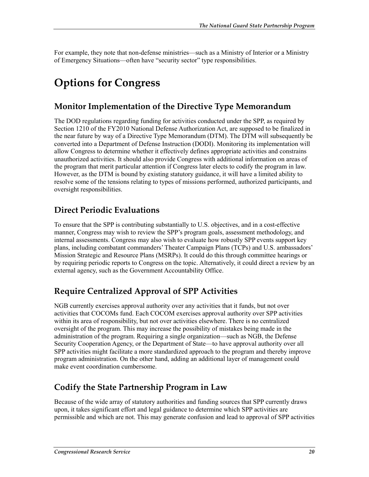For example, they note that non-defense ministries—such as a Ministry of Interior or a Ministry of Emergency Situations—often have "security sector" type responsibilities.

## **Options for Congress**

### **Monitor Implementation of the Directive Type Memorandum**

The DOD regulations regarding funding for activities conducted under the SPP, as required by Section 1210 of the FY2010 National Defense Authorization Act, are supposed to be finalized in the near future by way of a Directive Type Memorandum (DTM). The DTM will subsequently be converted into a Department of Defense Instruction (DODI). Monitoring its implementation will allow Congress to determine whether it effectively defines appropriate activities and constrains unauthorized activities. It should also provide Congress with additional information on areas of the program that merit particular attention if Congress later elects to codify the program in law. However, as the DTM is bound by existing statutory guidance, it will have a limited ability to resolve some of the tensions relating to types of missions performed, authorized participants, and oversight responsibilities.

### **Direct Periodic Evaluations**

To ensure that the SPP is contributing substantially to U.S. objectives, and in a cost-effective manner, Congress may wish to review the SPP's program goals, assessment methodology, and internal assessments. Congress may also wish to evaluate how robustly SPP events support key plans, including combatant commanders' Theater Campaign Plans (TCPs) and U.S. ambassadors' Mission Strategic and Resource Plans (MSRPs). It could do this through committee hearings or by requiring periodic reports to Congress on the topic. Alternatively, it could direct a review by an external agency, such as the Government Accountability Office.

## **Require Centralized Approval of SPP Activities**

NGB currently exercises approval authority over any activities that it funds, but not over activities that COCOMs fund. Each COCOM exercises approval authority over SPP activities within its area of responsibility, but not over activities elsewhere. There is no centralized oversight of the program. This may increase the possibility of mistakes being made in the administration of the program. Requiring a single organization—such as NGB, the Defense Security Cooperation Agency, or the Department of State—to have approval authority over all SPP activities might facilitate a more standardized approach to the program and thereby improve program administration. On the other hand, adding an additional layer of management could make event coordination cumbersome.

## **Codify the State Partnership Program in Law**

Because of the wide array of statutory authorities and funding sources that SPP currently draws upon, it takes significant effort and legal guidance to determine which SPP activities are permissible and which are not. This may generate confusion and lead to approval of SPP activities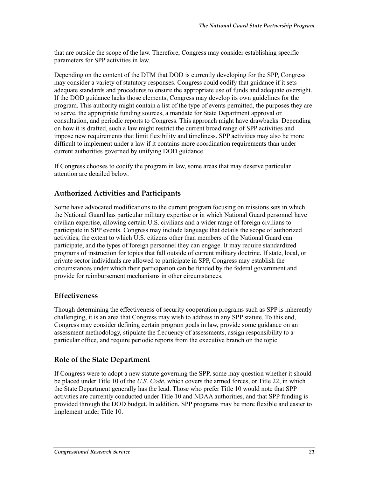that are outside the scope of the law. Therefore, Congress may consider establishing specific parameters for SPP activities in law.

Depending on the content of the DTM that DOD is currently developing for the SPP, Congress may consider a variety of statutory responses. Congress could codify that guidance if it sets adequate standards and procedures to ensure the appropriate use of funds and adequate oversight. If the DOD guidance lacks those elements, Congress may develop its own guidelines for the program. This authority might contain a list of the type of events permitted, the purposes they are to serve, the appropriate funding sources, a mandate for State Department approval or consultation, and periodic reports to Congress. This approach might have drawbacks. Depending on how it is drafted, such a law might restrict the current broad range of SPP activities and impose new requirements that limit flexibility and timeliness. SPP activities may also be more difficult to implement under a law if it contains more coordination requirements than under current authorities governed by unifying DOD guidance.

If Congress chooses to codify the program in law, some areas that may deserve particular attention are detailed below.

### **Authorized Activities and Participants**

Some have advocated modifications to the current program focusing on missions sets in which the National Guard has particular military expertise or in which National Guard personnel have civilian expertise, allowing certain U.S. civilians and a wider range of foreign civilians to participate in SPP events. Congress may include language that details the scope of authorized activities, the extent to which U.S. citizens other than members of the National Guard can participate, and the types of foreign personnel they can engage. It may require standardized programs of instruction for topics that fall outside of current military doctrine. If state, local, or private sector individuals are allowed to participate in SPP, Congress may establish the circumstances under which their participation can be funded by the federal government and provide for reimbursement mechanisms in other circumstances.

#### **Effectiveness**

Though determining the effectiveness of security cooperation programs such as SPP is inherently challenging, it is an area that Congress may wish to address in any SPP statute. To this end, Congress may consider defining certain program goals in law, provide some guidance on an assessment methodology, stipulate the frequency of assessments, assign responsibility to a particular office, and require periodic reports from the executive branch on the topic.

#### **Role of the State Department**

If Congress were to adopt a new statute governing the SPP, some may question whether it should be placed under Title 10 of the *U.S. Code*, which covers the armed forces, or Title 22, in which the State Department generally has the lead. Those who prefer Title 10 would note that SPP activities are currently conducted under Title 10 and NDAA authorities, and that SPP funding is provided through the DOD budget. In addition, SPP programs may be more flexible and easier to implement under Title 10.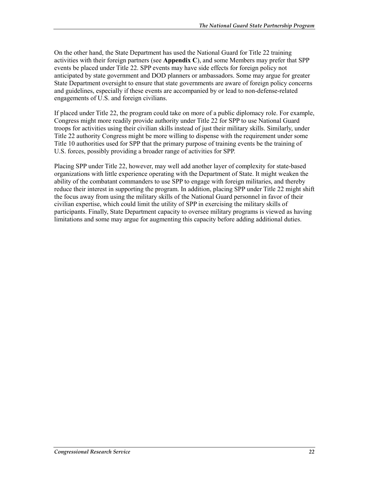On the other hand, the State Department has used the National Guard for Title 22 training activities with their foreign partners (see **Appendix C**), and some Members may prefer that SPP events be placed under Title 22. SPP events may have side effects for foreign policy not anticipated by state government and DOD planners or ambassadors. Some may argue for greater State Department oversight to ensure that state governments are aware of foreign policy concerns and guidelines, especially if these events are accompanied by or lead to non-defense-related engagements of U.S. and foreign civilians.

If placed under Title 22, the program could take on more of a public diplomacy role. For example, Congress might more readily provide authority under Title 22 for SPP to use National Guard troops for activities using their civilian skills instead of just their military skills. Similarly, under Title 22 authority Congress might be more willing to dispense with the requirement under some Title 10 authorities used for SPP that the primary purpose of training events be the training of U.S. forces, possibly providing a broader range of activities for SPP.

Placing SPP under Title 22, however, may well add another layer of complexity for state-based organizations with little experience operating with the Department of State. It might weaken the ability of the combatant commanders to use SPP to engage with foreign militaries, and thereby reduce their interest in supporting the program. In addition, placing SPP under Title 22 might shift the focus away from using the military skills of the National Guard personnel in favor of their civilian expertise, which could limit the utility of SPP in exercising the military skills of participants. Finally, State Department capacity to oversee military programs is viewed as having limitations and some may argue for augmenting this capacity before adding additional duties.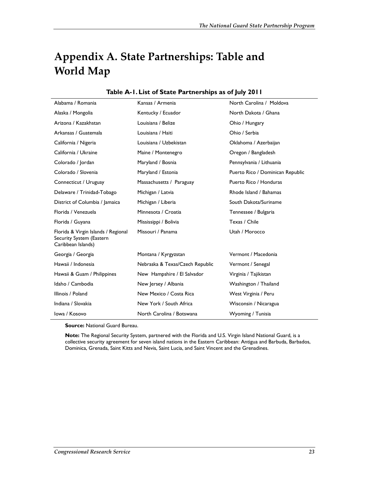## **Appendix A. State Partnerships: Table and World Map**

| Alabama / Romania                                                                     | Kansas / Armenia                | North Carolina / Moldova         |
|---------------------------------------------------------------------------------------|---------------------------------|----------------------------------|
| Alaska / Mongolia                                                                     | Kentucky / Ecuador              | North Dakota / Ghana             |
| Arizona / Kazakhstan                                                                  | Louisiana / Belize              | Ohio / Hungary                   |
| Arkansas / Guatemala                                                                  | Louisiana / Haiti               | Ohio / Serbia                    |
| California / Nigeria                                                                  | Louisiana / Uzbekistan          | Oklahoma / Azerbaijan            |
| California / Ukraine                                                                  | Maine / Montenegro              | Oregon / Bangladesh              |
| Colorado / Jordan                                                                     | Maryland / Bosnia               | Pennsylvania / Lithuania         |
| Colorado / Slovenia                                                                   | Maryland / Estonia              | Puerto Rico / Dominican Republic |
| Connecticut / Uruguay                                                                 | Massachusetts / Paraguay        | Puerto Rico / Honduras           |
| Delaware / Trinidad-Tobago                                                            | Michigan / Latvia               | Rhode Island / Bahamas           |
| District of Columbia / Jamaica                                                        | Michigan / Liberia              | South Dakota/Suriname            |
| Florida / Venezuela                                                                   | Minnesota / Croatia             | Tennessee / Bulgaria             |
| Florida / Guyana                                                                      | Mississippi / Bolivia           | Texas / Chile                    |
| Florida & Virgin Islands / Regional<br>Security System (Eastern<br>Caribbean Islands) | Missouri / Panama               | Utah / Morocco                   |
| Georgia / Georgia                                                                     | Montana / Kyrgyzstan            | Vermont / Macedonia              |
| Hawaii / Indonesia                                                                    | Nebraska & Texas/Czech Republic | Vermont / Senegal                |
| Hawaii & Guam / Philippines                                                           | New Hampshire / El Salvador     | Virginia / Tajikistan            |
| Idaho / Cambodia                                                                      | New Jersey / Albania            | Washington / Thailand            |
| Illinois / Poland                                                                     | New Mexico / Costa Rica         | West Virginia / Peru             |
| Indiana / Slovakia                                                                    | New York / South Africa         | Wisconsin / Nicaragua            |
| lowa / Kosovo                                                                         | North Carolina / Botswana       | Wyoming / Tunisia                |

#### **Table A-1. List of State Partnerships as of July 2011**

**Source:** National Guard Bureau.

**Note:** The Regional Security System, partnered with the Florida and U.S. Virgin Island National Guard, is a collective security agreement for seven island nations in the Eastern Caribbean: Antigua and Barbuda, Barbados, Dominica, Grenada, Saint Kitts and Nevis, Saint Lucia, and Saint Vincent and the Grenadines.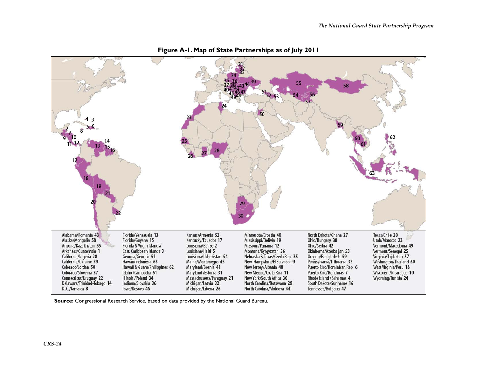

**Figure A-1. Map of State Partnerships as of July 2011** 

**Source:** Congressional Research Service, based on data provided by the National Guard Bureau.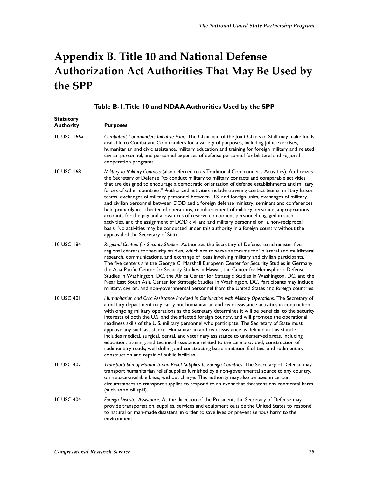## **Appendix B. Title 10 and National Defense Authorization Act Authorities That May Be Used by the SPP**

| <b>Statutory</b><br><b>Authority</b> | <b>Purposes</b>                                                                                                                                                                                                                                                                                                                                                                                                                                                                                                                                                                                                                                                                                                                                                                                                                                                                                                                                                                                                                       |
|--------------------------------------|---------------------------------------------------------------------------------------------------------------------------------------------------------------------------------------------------------------------------------------------------------------------------------------------------------------------------------------------------------------------------------------------------------------------------------------------------------------------------------------------------------------------------------------------------------------------------------------------------------------------------------------------------------------------------------------------------------------------------------------------------------------------------------------------------------------------------------------------------------------------------------------------------------------------------------------------------------------------------------------------------------------------------------------|
| 10 USC 166a                          | Combatant Commanders Initiative Fund. The Chairman of the Joint Chiefs of Staff may make funds<br>available to Combatant Commanders for a variety of purposes, including joint exercises,<br>humanitarian and civic assistance, military education and training for foreign military and related<br>civilian personnel, and personnel expenses of defense personnel for bilateral and regional<br>cooperation programs.                                                                                                                                                                                                                                                                                                                                                                                                                                                                                                                                                                                                               |
| 10 USC 168                           | Military to Military Contacts (also referred to as Traditional Commander's Activities). Authorizes<br>the Secretary of Defense "to conduct military to military contacts and comparable activities<br>that are designed to encourage a democratic orientation of defense establishments and military<br>forces of other countries." Authorized activities include traveling contact teams, military liaison<br>teams, exchanges of military personnel between U.S. and foreign units, exchanges of military<br>and civilian personnel between DOD and a foreign defense ministry, seminars and conferences<br>held primarily in a theater of operations, reimbursement of military personnel appropriations<br>accounts for the pay and allowances of reserve component personnel engaged in such<br>activities, and the assignment of DOD civilians and military personnel on a non-reciprocal<br>basis. No activities may be conducted under this authority in a foreign country without the<br>approval of the Secretary of State. |
| 10 USC 184                           | Regional Centers for Security Studies. Authorizes the Secretary of Defense to administer five<br>regional centers for security studies, which are to serve as forums for "bilateral and multilateral<br>research, communications, and exchange of ideas involving military and civilian participants."<br>The five centers are the George C. Marshall European Center for Security Studies in Germany,<br>the Asia-Pacific Center for Security Studies in Hawaii, the Center for Hemispheric Defense<br>Studies in Washington, DC, the Africa Center for Strategic Studies in Washington, DC, and the<br>Near East South Asia Center for Strategic Studies in Washington, DC. Participants may include<br>military, civilian, and non-governmental personnel from the United States and foreign countries.                                                                                                                                                                                                                            |
| 10 USC 401                           | Humanitarian and Civic Assistance Provided in Conjunction with Military Operations. The Secretary of<br>a military department may carry out humanitarian and civic assistance activities in conjunction<br>with ongoing military operations as the Secretary determines it will be beneficial to the security<br>interests of both the U.S. and the affected foreign country, and will promote the operational<br>readiness skills of the U.S. military personnel who participate. The Secretary of State must<br>approve any such assistance. Humanitarian and civic assistance as defined in this statute<br>includes medical, surgical, dental, and veterinary assistance to underserved areas, including<br>education, training, and technical assistance related to the care provided; construction of<br>rudimentary roads; well drilling and constructing basic sanitation facilities; and rudimentary<br>construction and repair of public facilities.                                                                        |
| 10 USC 402                           | Transportation of Humanitarian Relief Supplies to Foreign Countries. The Secretary of Defense may<br>transport humanitarian relief supplies furnished by a non-governmental source to any country,<br>on a space-available basis, without charge. This authority may also be used in certain<br>circumstances to transport supplies to respond to an event that threatens environmental harm<br>(such as an oil spill).                                                                                                                                                                                                                                                                                                                                                                                                                                                                                                                                                                                                               |
| 10 USC 404                           | Foreign Disaster Assistance. At the direction of the President, the Secretary of Defense may<br>provide transportation, supplies, services and equipment outside the United States to respond<br>to natural or man-made disasters, in order to save lives or prevent serious harm to the<br>environment.                                                                                                                                                                                                                                                                                                                                                                                                                                                                                                                                                                                                                                                                                                                              |

#### **Table B-1. Title 10 and NDAA Authorities Used by the SPP**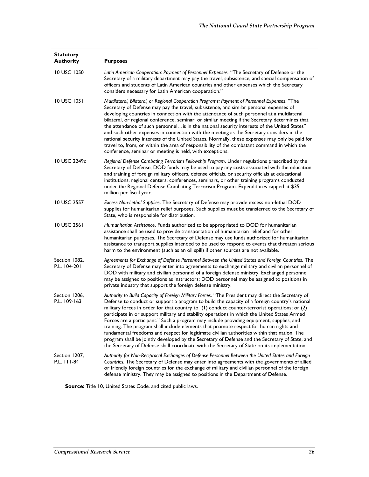| <b>Statutory</b><br><b>Authority</b> | <b>Purposes</b>                                                                                                                                                                                                                                                                                                                                                                                                                                                                                                                                                                                                                                                                                                                                                                                                                                                                              |
|--------------------------------------|----------------------------------------------------------------------------------------------------------------------------------------------------------------------------------------------------------------------------------------------------------------------------------------------------------------------------------------------------------------------------------------------------------------------------------------------------------------------------------------------------------------------------------------------------------------------------------------------------------------------------------------------------------------------------------------------------------------------------------------------------------------------------------------------------------------------------------------------------------------------------------------------|
| 10 USC 1050                          | Latin American Cooperation: Payment of Personnel Expenses. "The Secretary of Defense or the<br>Secretary of a military department may pay the travel, subsistence, and special compensation of<br>officers and students of Latin American countries and other expenses which the Secretary<br>considers necessary for Latin American cooperation."                                                                                                                                                                                                                                                                                                                                                                                                                                                                                                                                           |
| 10 USC 1051                          | Multilateral, Bilateral, or Regional Cooperation Programs: Payment of Personnel Expenses. "The<br>Secretary of Defense may pay the travel, subsistence, and similar personal expenses of<br>developing countries in connection with the attendance of such personnel at a multilateral,<br>bilateral, or regional conference, seminar, or similar meeting if the Secretary determines that<br>the attendance of such personnelis in the national security interests of the United States"<br>and such other expenses in connection with the meeting as the Secretary considers in the<br>national security interests of the United States. Normally, these expenses may only be paid for<br>travel to, from, or within the area of responsibility of the combatant command in which the<br>conference, seminar or meeting is held, with exceptions.                                          |
| 10 USC 2249c                         | Regional Defense Combating Terrorism Fellowship Program. Under regulations prescribed by the<br>Secretary of Defense, DOD funds may be used to pay any costs associated with the education<br>and training of foreign military officers, defense officials, or security officials at educational<br>institutions, regional centers, conferences, seminars, or other training programs conducted<br>under the Regional Defense Combating Terrorism Program. Expenditures capped at \$35<br>million per fiscal year.                                                                                                                                                                                                                                                                                                                                                                           |
| <b>10 USC 2557</b>                   | Excess Non-Lethal Supplies. The Secretary of Defense may provide excess non-lethal DOD<br>supplies for humanitarian relief purposes. Such supplies must be transferred to the Secretary of<br>State, who is responsible for distribution.                                                                                                                                                                                                                                                                                                                                                                                                                                                                                                                                                                                                                                                    |
| 10 USC 2561                          | Humanitarian Assistance. Funds authorized to be appropriated to DOD for humanitarian<br>assistance shall be used to provide transportation of humanitarian relief and for other<br>humanitarian purposes. The Secretary of Defense may use funds authorized for humanitarian<br>assistance to transport supplies intended to be used to respond to events that threaten serious<br>harm to the environment (such as an oil spill) if other sources are not available.                                                                                                                                                                                                                                                                                                                                                                                                                        |
| Section 1082,<br>P.L. 104-201        | Agreements for Exchange of Defense Personnel Between the United States and Foreign Countries. The<br>Secretary of Defense may enter into agreements to exchange military and civilian personnel of<br>DOD with military and civilian personnel of a foreign defense ministry. Exchanged personnel<br>may be assigned to positions as instructors; DOD personnel may be assigned to positions in<br>private industry that support the foreign defense ministry.                                                                                                                                                                                                                                                                                                                                                                                                                               |
| Section 1206,<br>P.L. 109-163        | Authority to Build Capacity of Foreign Military Forces. "The President may direct the Secretary of<br>Defense to conduct or support a program to build the capacity of a foreign country's national<br>military forces in order for that country to (1) conduct counter-terrorist operations; or (2)<br>participate in or support military and stability operations in which the United States Armed<br>Forces are a participant." Such a program may include providing equipment, supplies, and<br>training. The program shall include elements that promote respect for human rights and<br>fundamental freedoms and respect for legitimate civilian authorities within that nation. The<br>program shall be jointly developed by the Secretary of Defense and the Secretary of State, and<br>the Secretary of Defense shall coordinate with the Secretary of State on its implementation. |
| Section 1207,<br>P.L. 111-84         | Authority for Non-Reciprocal Exchanges of Defense Personnel Between the United States and Foreign<br>Countries. The Secretary of Defense may enter into agreements with the governments of allied<br>or friendly foreign countries for the exchange of military and civilian personnel of the foreign<br>defense ministry. They may be assigned to positions in the Department of Defense.                                                                                                                                                                                                                                                                                                                                                                                                                                                                                                   |

**Source:** Title 10, United States Code, and cited public laws.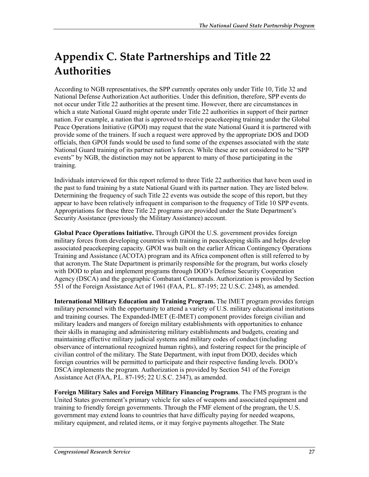## **Appendix C. State Partnerships and Title 22 Authorities**

According to NGB representatives, the SPP currently operates only under Title 10, Title 32 and National Defense Authorization Act authorities. Under this definition, therefore, SPP events do not occur under Title 22 authorities at the present time. However, there are circumstances in which a state National Guard might operate under Title 22 authorities in support of their partner nation. For example, a nation that is approved to receive peacekeeping training under the Global Peace Operations Initiative (GPOI) may request that the state National Guard it is partnered with provide some of the trainers. If such a request were approved by the appropriate DOS and DOD officials, then GPOI funds would be used to fund some of the expenses associated with the state National Guard training of its partner nation's forces. While these are not considered to be "SPP events" by NGB, the distinction may not be apparent to many of those participating in the training.

Individuals interviewed for this report referred to three Title 22 authorities that have been used in the past to fund training by a state National Guard with its partner nation. They are listed below. Determining the frequency of such Title 22 events was outside the scope of this report, but they appear to have been relatively infrequent in comparison to the frequency of Title 10 SPP events. Appropriations for these three Title 22 programs are provided under the State Department's Security Assistance (previously the Military Assistance) account.

**Global Peace Operations Initiative.** Through GPOI the U.S. government provides foreign military forces from developing countries with training in peacekeeping skills and helps develop associated peacekeeping capacity. GPOI was built on the earlier African Contingency Operations Training and Assistance (ACOTA) program and its Africa component often is still referred to by that acronym. The State Department is primarily responsible for the program, but works closely with DOD to plan and implement programs through DOD's Defense Security Cooperation Agency (DSCA) and the geographic Combatant Commands. Authorization is provided by Section 551 of the Foreign Assistance Act of 1961 (FAA, P.L. 87-195; 22 U.S.C. 2348), as amended.

**International Military Education and Training Program.** The IMET program provides foreign military personnel with the opportunity to attend a variety of U.S. military educational institutions and training courses. The Expanded-IMET (E-IMET) component provides foreign civilian and military leaders and mangers of foreign military establishments with opportunities to enhance their skills in managing and administering military establishments and budgets, creating and maintaining effective military judicial systems and military codes of conduct (including observance of international recognized human rights), and fostering respect for the principle of civilian control of the military. The State Department, with input from DOD, decides which foreign countries will be permitted to participate and their respective funding levels. DOD's DSCA implements the program. Authorization is provided by Section 541 of the Foreign Assistance Act (FAA, P.L. 87-195; 22 U.S.C. 2347), as amended.

**Foreign Military Sales and Foreign Military Financing Programs**. The FMS program is the United States government's primary vehicle for sales of weapons and associated equipment and training to friendly foreign governments. Through the FMF element of the program, the U.S. government may extend loans to countries that have difficulty paying for needed weapons, military equipment, and related items, or it may forgive payments altogether. The State